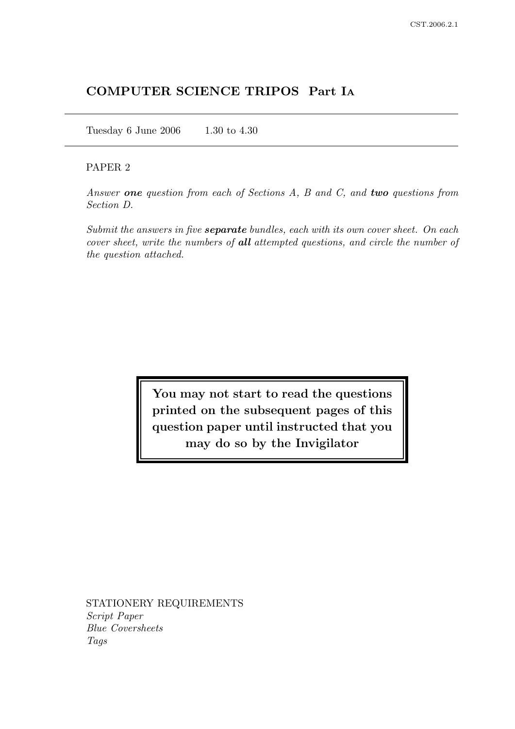# COMPUTER SCIENCE TRIPOS Part I<sup>A</sup>

Tuesday 6 June 2006 1.30 to 4.30

## PAPER 2

Answer one question from each of Sections A, B and C, and two questions from Section D.

Submit the answers in five **separate** bundles, each with its own cover sheet. On each cover sheet, write the numbers of all attempted questions, and circle the number of the question attached.

> You may not start to read the questions printed on the subsequent pages of this question paper until instructed that you may do so by the Invigilator

STATIONERY REQUIREMENTS Script Paper Blue Coversheets Tags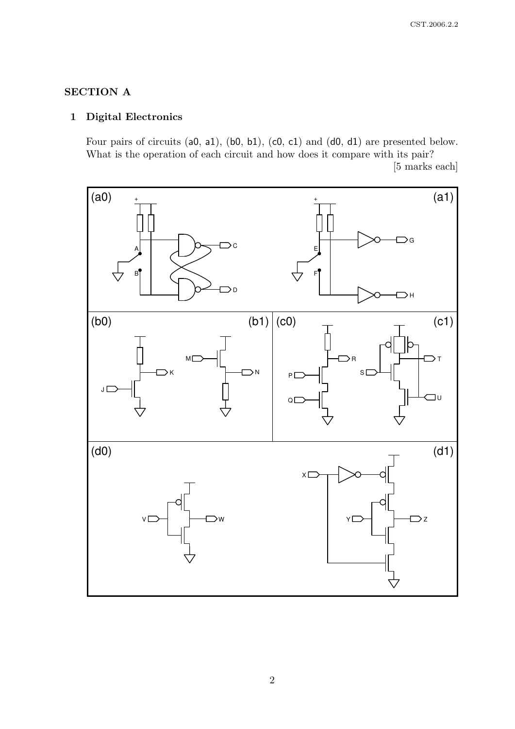# SECTION A

# 1 Digital Electronics

Four pairs of circuits (a0, a1), (b0, b1), (c0, c1) and (d0, d1) are presented below. What is the operation of each circuit and how does it compare with its pair? [5 marks each]

Уc  $\supset$ D (a0)  $\rightarrow$  (a1) A  $B<sup>6</sup>$  $\supset$ G  $\Box$ H + E  $F<sup>4</sup>$  $\Box$ K  $J\Box$  $\sum N$ M<sub>I</sub> V W Y Z  $X<sub>L</sub>$  $\bigcirc$ R  $P$  $\Box$  $Q<sub>l</sub>$ S  $\exists$  $\supset$  T (b0)  $(b1) | (c0)$   $\rightarrow$  (c1) (d0)  $-$  (d1)

2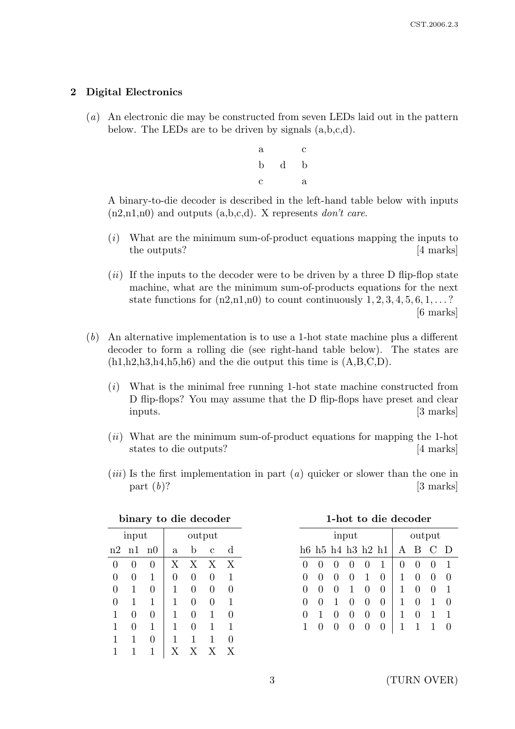## 2 Digital Electronics

- (a) An electronic die may be constructed from seven LEDs laid out in the pattern below. The LEDs are to be driven by signals (a,b,c,d).
	- a c b d b c a

A binary-to-die decoder is described in the left-hand table below with inputs  $(n2,n1,n0)$  and outputs  $(a,b,c,d)$ . X represents *don't care*.

- (i) What are the minimum sum-of-product equations mapping the inputs to the outputs? [4 marks]
- $(ii)$  If the inputs to the decoder were to be driven by a three D flip-flop state machine, what are the minimum sum-of-products equations for the next state functions for  $(n2,n1,n0)$  to count continuously  $1, 2, 3, 4, 5, 6, 1, \ldots$ ? [6 marks]
- (b) An alternative implementation is to use a 1-hot state machine plus a different decoder to form a rolling die (see right-hand table below). The states are  $(h1,h2,h3,h4,h5,h6)$  and the die output this time is  $(A,B,C,D)$ .
	- $(i)$  What is the minimal free running 1-hot state machine constructed from D flip-flops? You may assume that the D flip-flops have preset and clear inputs. [3 marks]
	- (ii) What are the minimum sum-of-product equations for mapping the 1-hot states to die outputs? [4 marks]
	- $(iii)$  Is the first implementation in part  $(a)$  quicker or slower than the one in part  $(b)$ ? [3 marks]

| ынаг у<br>to alle account |                |                |                |            |                |              |  |
|---------------------------|----------------|----------------|----------------|------------|----------------|--------------|--|
| input                     |                |                | output         |            |                |              |  |
| n2                        | n1             | n0             | $\mathbf{a}$   | b          | $\overline{c}$ | d            |  |
| $\theta$                  | 0              | $\overline{0}$ | $\overline{X}$ | X          | X              | X            |  |
| $\overline{0}$            | $\overline{0}$ | $\mathbf 1$    | 0              | 0          | $\overline{0}$ | $\mathbf{1}$ |  |
| $\overline{0}$            | 1              | 0              | 1              | 0          | $\overline{0}$ | 0            |  |
| 0                         | 1              | $\mathbf 1$    | 1              | 0          | 0              | $\mathbf{1}$ |  |
| 1                         | $\overline{0}$ | 0              | 1              | 0          | 1              | 0            |  |
| 1                         | 0              | $\mathbf 1$    | 1              | 0          | 1              | 1            |  |
| 1                         | 1              | 0              | 1              | 1          | 1              | 0            |  |
|                           | 1              | 1              | $_{\rm X}$     | $_{\rm X}$ | X              | Х            |  |

|  |  |  | binary to die decoder |
|--|--|--|-----------------------|
|--|--|--|-----------------------|

|  | 1-hot to die decoder |
|--|----------------------|
|  |                      |

| input             |  |                   |                  |              | output            |              |   |                                                     |  |
|-------------------|--|-------------------|------------------|--------------|-------------------|--------------|---|-----------------------------------------------------|--|
|                   |  | h6 h5 h4 h3 h2 h1 |                  |              |                   | A            | B | $\left( \begin{array}{c} \cdot \end{array} \right)$ |  |
| $\mathbf{\Omega}$ |  |                   |                  |              | 1                 | $\mathbf{0}$ |   | 0                                                   |  |
| $\mathbf{\Omega}$ |  | $\mathbf{0}$      | $\left( \right)$ | 1            |                   | 1            |   | $\left( \right)$                                    |  |
| $\mathbf{0}$      |  | $\theta$          | 1                | 0            | $\mathcal{O}$     |              |   | $\left( \right)$                                    |  |
| $\mathbf{0}$      |  | 1                 | $\mathbf{0}$     | $\mathbf{0}$ | $\mathbf{\Omega}$ |              | 0 | 1                                                   |  |
| 0                 |  | 0                 | $\theta$         | $\mathbf{0}$ | $\mathbf{0}$      |              | 0 | 1                                                   |  |
|                   |  |                   |                  |              |                   |              |   |                                                     |  |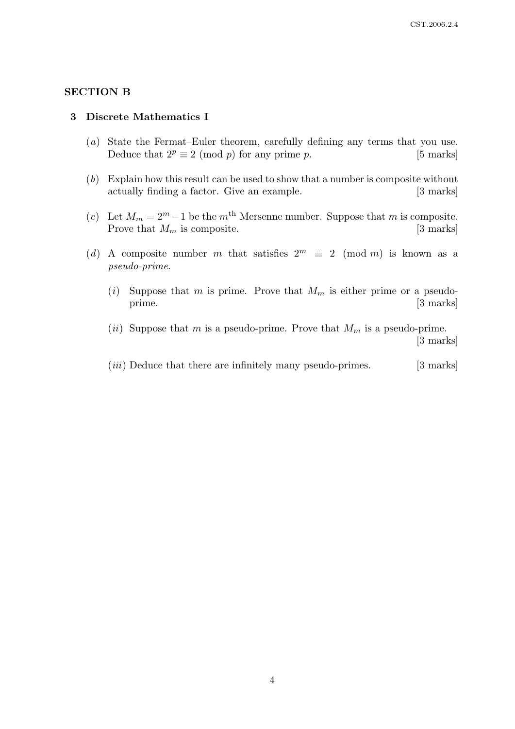#### SECTION B

#### 3 Discrete Mathematics I

- (a) State the Fermat–Euler theorem, carefully defining any terms that you use. Deduce that  $2^p \equiv 2 \pmod{p}$  for any prime p. [5 marks]
- (b) Explain how this result can be used to show that a number is composite without actually finding a factor. Give an example. [3 marks]
- (c) Let  $M_m = 2^m 1$  be the m<sup>th</sup> Mersenne number. Suppose that m is composite. Prove that  $M_m$  is composite. [3 marks]
- (d) A composite number m that satisfies  $2^m \equiv 2 \pmod{m}$  is known as a pseudo-prime.
	- (i) Suppose that m is prime. Prove that  $M_m$  is either prime or a pseudoprime. [3 marks]
	- (*ii*) Suppose that m is a pseudo-prime. Prove that  $M_m$  is a pseudo-prime. [3 marks]
	- $(iii)$  Deduce that there are infinitely many pseudo-primes. [3 marks]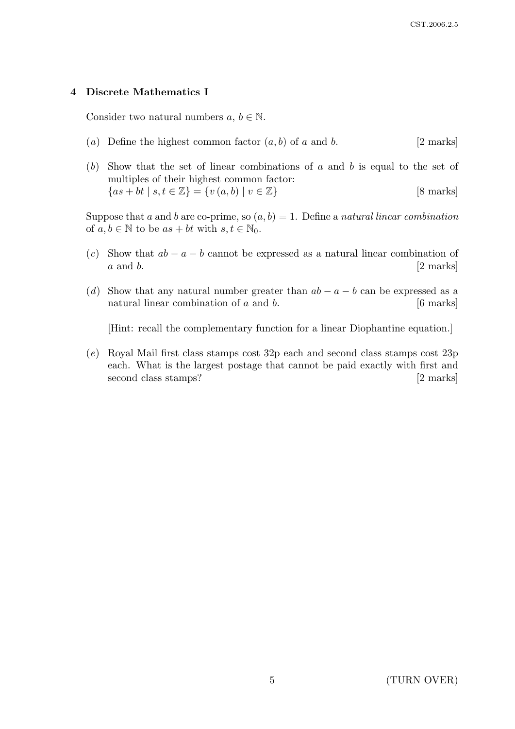## 4 Discrete Mathematics I

Consider two natural numbers  $a, b \in \mathbb{N}$ .

- (a) Define the highest common factor  $(a, b)$  of a and b. [2 marks]
- (b) Show that the set of linear combinations of a and b is equal to the set of multiples of their highest common factor:  ${as + bt | s, t \in \mathbb{Z}} = {v(a, b) | v \in \mathbb{Z}}$  [8 marks]

Suppose that a and b are co-prime, so  $(a, b) = 1$ . Define a natural linear combination of  $a, b \in \mathbb{N}$  to be  $as + bt$  with  $s, t \in \mathbb{N}_0$ .

- (c) Show that  $ab a b$  cannot be expressed as a natural linear combination of  $a$  and  $b$ . [2 marks]
- (d) Show that any natural number greater than  $ab a b$  can be expressed as a natural linear combination of  $a$  and  $b$ . [6 marks]

[Hint: recall the complementary function for a linear Diophantine equation.]

(e) Royal Mail first class stamps cost 32p each and second class stamps cost 23p each. What is the largest postage that cannot be paid exactly with first and second class stamps? [2 marks]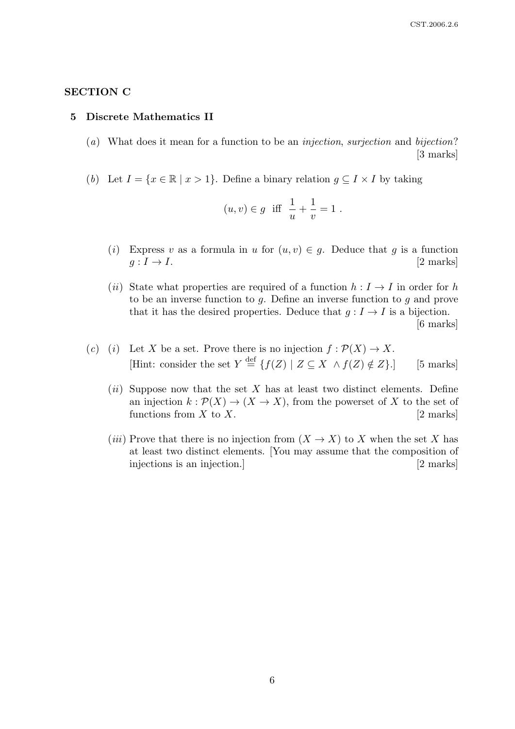## SECTION C

#### 5 Discrete Mathematics II

- (a) What does it mean for a function to be an injection, surjection and bijection? [3 marks]
- (b) Let  $I = \{x \in \mathbb{R} \mid x > 1\}$ . Define a binary relation  $g \subseteq I \times I$  by taking

$$
(u, v) \in g
$$
 iff  $\frac{1}{u} + \frac{1}{v} = 1$ .

- (i) Express v as a formula in u for  $(u, v) \in g$ . Deduce that g is a function  $g: I \to I.$  [2 marks]
- (ii) State what properties are required of a function  $h : I \to I$  in order for h to be an inverse function to  $q$ . Define an inverse function to  $q$  and prove that it has the desired properties. Deduce that  $g: I \to I$  is a bijection. [6 marks]
- (c) (i) Let X be a set. Prove there is no injection  $f : \mathcal{P}(X) \to X$ . [Hint: consider the set  $Y \stackrel{\text{def}}{=} \{f(Z) \mid Z \subseteq X \land f(Z) \notin Z\}.$ ] [5 marks]
	- (ii) Suppose now that the set X has at least two distinct elements. Define an injection  $k : \mathcal{P}(X) \to (X \to X)$ , from the powerset of X to the set of functions from  $X$  to  $X$ . [2 marks]
	- (*iii*) Prove that there is no injection from  $(X \to X)$  to X when the set X has at least two distinct elements. [You may assume that the composition of injections is an injection.] [2 marks]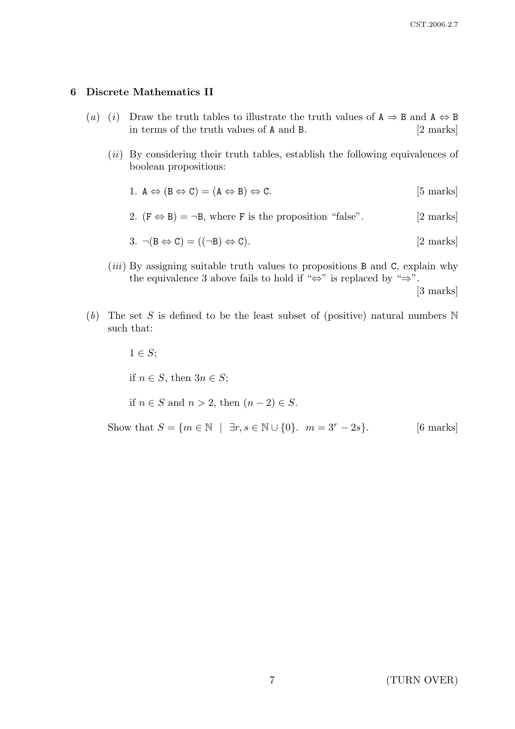#### 6 Discrete Mathematics II

- (a) (i) Draw the truth tables to illustrate the truth values of  $A \Rightarrow B$  and  $A \Leftrightarrow B$ in terms of the truth values of A and B. [2 marks]
	- $(ii)$  By considering their truth tables, establish the following equivalences of boolean propositions:
		- 1.  $A \Leftrightarrow (B \Leftrightarrow C) = (A \Leftrightarrow B) \Leftrightarrow C.$  [5 marks]
		- 2.  $(F \Leftrightarrow B) = \neg B$ , where F is the proposition "false". [2 marks]

$$
3. \neg(B \Leftrightarrow C) = ((\neg B) \Leftrightarrow C). \qquad [2 \text{ marks}]
$$

 $(iii)$  By assigning suitable truth values to propositions B and C, explain why the equivalence 3 above fails to hold if " $\Leftrightarrow$ " is replaced by " $\Rightarrow$ ".

[3 marks]

(b) The set S is defined to be the least subset of (positive) natural numbers  $\mathbb N$ such that:

 $1 \in S$ ; if  $n \in S$ , then  $3n \in S$ ; if  $n \in S$  and  $n > 2$ , then  $(n-2) \in S$ . Show that  $S = \{m \in \mathbb{N} \mid \exists r, s \in \mathbb{N} \cup \{0\} \text{.\ } m = 3^r - 2s\}.$  [6 marks]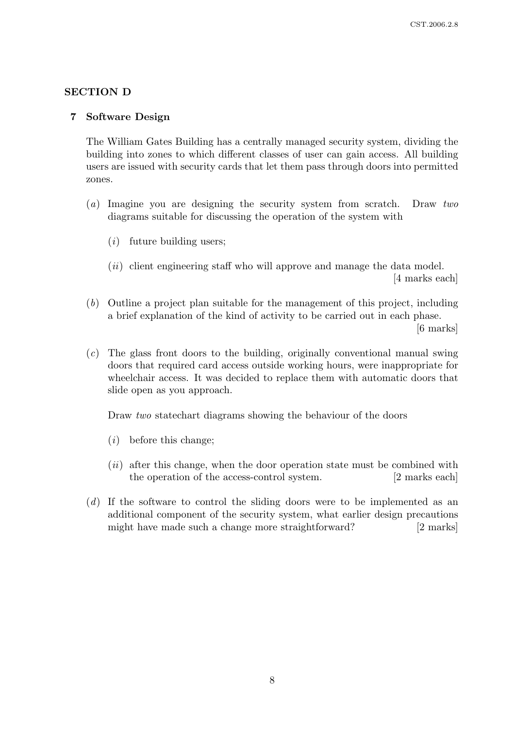## SECTION D

#### 7 Software Design

The William Gates Building has a centrally managed security system, dividing the building into zones to which different classes of user can gain access. All building users are issued with security cards that let them pass through doors into permitted zones.

- (a) Imagine you are designing the security system from scratch. Draw two diagrams suitable for discussing the operation of the system with
	- $(i)$  future building users;
	- $(ii)$  client engineering staff who will approve and manage the data model. [4 marks each]
- (b) Outline a project plan suitable for the management of this project, including a brief explanation of the kind of activity to be carried out in each phase. [6 marks]
- (c) The glass front doors to the building, originally conventional manual swing doors that required card access outside working hours, were inappropriate for wheelchair access. It was decided to replace them with automatic doors that slide open as you approach.

Draw *two* statechart diagrams showing the behaviour of the doors

- $(i)$  before this change;
- $(ii)$  after this change, when the door operation state must be combined with the operation of the access-control system. [2 marks each]
- (d) If the software to control the sliding doors were to be implemented as an additional component of the security system, what earlier design precautions might have made such a change more straightforward? [2 marks]